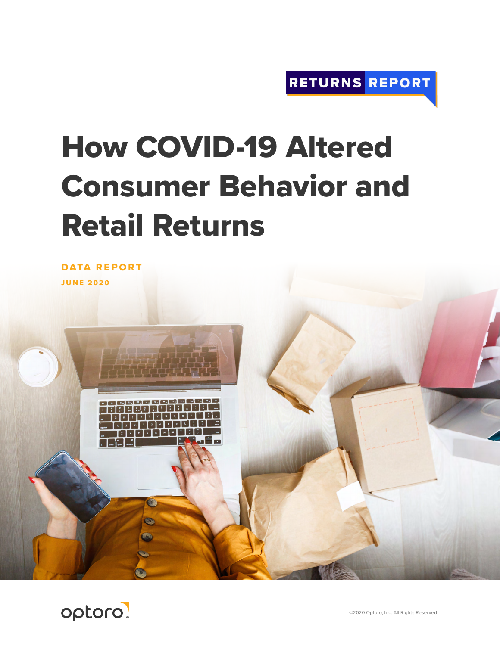# How COVID-19 Altered Consumer Behavior and Retail Returns

DATA REPORT JUNE 2020



偏

©2020 Optoro, Inc. All Rights Reserved.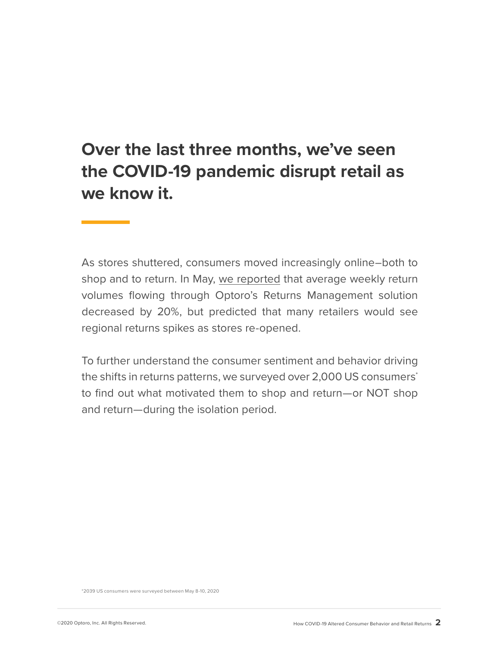## **Over the last three months, we've seen the COVID-19 pandemic disrupt retail as we know it.**

As stores shuttered, consumers moved increasingly online–both to shop and to return. In May, [we reported](http://info.optoro.com/returnsreportdatareport) that average weekly return volumes flowing through Optoro's Returns Management solution decreased by 20%, but predicted that many retailers would see regional returns spikes as stores re-opened.

To further understand the consumer sentiment and behavior driving the shifts in returns patterns, we surveyed over 2,000 US consumers<sup>\*</sup> to find out what motivated them to shop and return—or NOT shop and return—during the isolation period.

\*2039 US consumers were surveyed between May 8-10, 2020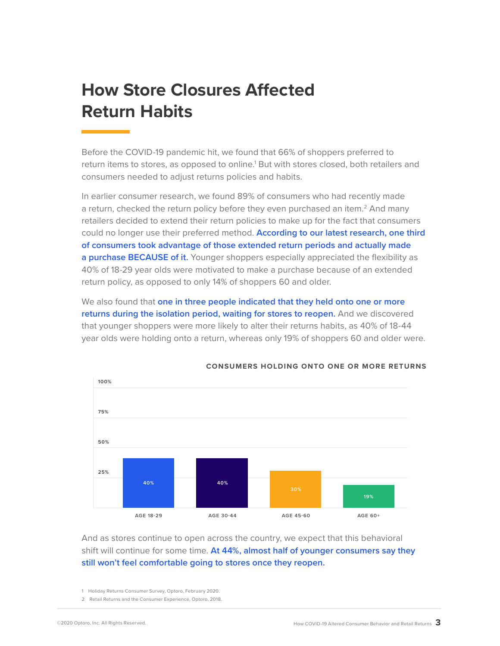## **How Store Closures Affected Return Habits**

Before the COVID-19 pandemic hit, we found that 66% of shoppers preferred to return items to stores, as opposed to online.<sup>1</sup> But with stores closed, both retailers and consumers needed to adjust returns policies and habits.

In earlier consumer research, we found 89% of consumers who had recently made a return, checked the return policy before they even purchased an item.<sup>2</sup> And many retailers decided to extend their return policies to make up for the fact that consumers could no longer use their preferred method. **According to our latest research, one third of consumers took advantage of those extended return periods and actually made a purchase BECAUSE of it.** Younger shoppers especially appreciated the flexibility as 40% of 18-29 year olds were motivated to make a purchase because of an extended return policy, as opposed to only 14% of shoppers 60 and older.

We also found that **one in three people indicated that they held onto one or more returns during the isolation period, waiting for stores to reopen.** And we discovered that younger shoppers were more likely to alter their returns habits, as 40% of 18-44 year olds were holding onto a return, whereas only 19% of shoppers 60 and older were.



**CONSUMERS HOLDING ONTO ONE OR MORE RETURNS**

And as stores continue to open across the country, we expect that this behavioral shift will continue for some time. **At 44%, almost half of younger consumers say they still won't feel comfortable going to stores once they reopen.**

- 1 Holiday Returns Consumer Survey, Optoro, February 2020.
- 2 Retail Returns and the Consumer Experience, Optoro, 2018.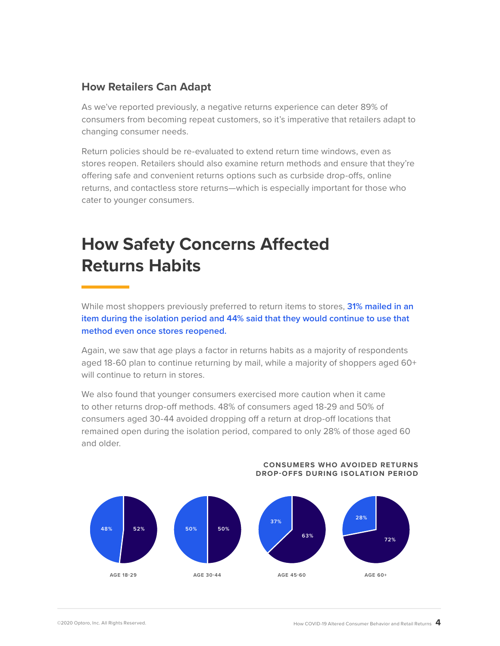### **How Retailers Can Adapt**

As we've reported previously, a negative returns experience can deter 89% of consumers from becoming repeat customers, so it's imperative that retailers adapt to changing consumer needs.

Return policies should be re-evaluated to extend return time windows, even as stores reopen. Retailers should also examine return methods and ensure that they're offering safe and convenient returns options such as curbside drop-offs, online returns, and contactless store returns—which is especially important for those who cater to younger consumers.

# **How Safety Concerns Affected Returns Habits**

While most shoppers previously preferred to return items to stores, **31% mailed in an item during the isolation period and 44% said that they would continue to use that method even once stores reopened.** 

Again, we saw that age plays a factor in returns habits as a majority of respondents aged 18-60 plan to continue returning by mail, while a majority of shoppers aged 60+ will continue to return in stores.

We also found that younger consumers exercised more caution when it came to other returns drop-off methods. 48% of consumers aged 18-29 and 50% of consumers aged 30-44 avoided dropping off a return at drop-off locations that remained open during the isolation period, compared to only 28% of those aged 60 and older.



#### **CONSUMERS WHO AVOIDED RETURNS DROP-OFFS DURING ISOLATION PERIOD**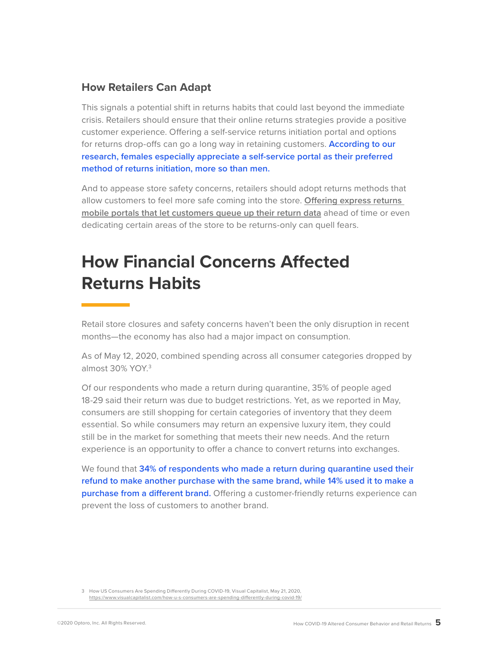### **How Retailers Can Adapt**

This signals a potential shift in returns habits that could last beyond the immediate crisis. Retailers should ensure that their online returns strategies provide a positive customer experience. Offering a self-service returns initiation portal and options for returns drop-offs can go a long way in retaining customers. **According to our research, females especially appreciate a self-service portal as their preferred method of returns initiation, more so than men.** 

And to appease store safety concerns, retailers should adopt returns methods that allow customers to feel more safe coming into the store. **[Offering express returns](https://www.optoro.com/2020/05/21/returns-report-reopening-a-guide-to-successfully-managing-in-store-returns/?utm_source=Hubspot&utm_medium=Email&utm_campaign=DataReport2)  [mobile portals that let customers queue up their return data](https://www.optoro.com/2020/05/21/returns-report-reopening-a-guide-to-successfully-managing-in-store-returns/?utm_source=Hubspot&utm_medium=Email&utm_campaign=DataReport2)** ahead of time or even dedicating certain areas of the store to be returns-only can quell fears.

# **How Financial Concerns Affected Returns Habits**

Retail store closures and safety concerns haven't been the only disruption in recent months—the economy has also had a major impact on consumption.

As of May 12, 2020, combined spending across all consumer categories dropped by almost 30% YOY.3

Of our respondents who made a return during quarantine, 35% of people aged 18-29 said their return was due to budget restrictions. Yet, as we reported in May, consumers are still shopping for certain categories of inventory that they deem essential. So while consumers may return an expensive luxury item, they could still be in the market for something that meets their new needs. And the return experience is an opportunity to offer a chance to convert returns into exchanges.

We found that **34% of respondents who made a return during quarantine used their refund to make another purchase with the same brand, while 14% used it to make a purchase from a different brand.** Offering a customer-friendly returns experience can prevent the loss of customers to another brand.

<sup>3</sup> How US Consumers Are Spending Differently During COVID-19, Visual Capitalist, May 21, 2020, <https://www.visualcapitalist.com/how-u-s-consumers-are-spending-differently-during-covid-19/>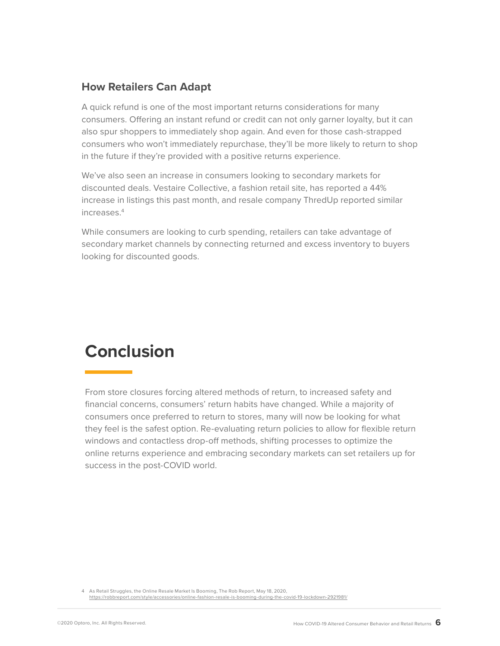### **How Retailers Can Adapt**

A quick refund is one of the most important returns considerations for many consumers. Offering an instant refund or credit can not only garner loyalty, but it can also spur shoppers to immediately shop again. And even for those cash-strapped consumers who won't immediately repurchase, they'll be more likely to return to shop in the future if they're provided with a positive returns experience.

We've also seen an increase in consumers looking to secondary markets for discounted deals. Vestaire Collective, a fashion retail site, has reported a 44% increase in listings this past month, and resale company ThredUp reported similar increases.4

While consumers are looking to curb spending, retailers can take advantage of secondary market channels by connecting returned and excess inventory to buyers looking for discounted goods.

### **Conclusion**

From store closures forcing altered methods of return, to increased safety and financial concerns, consumers' return habits have changed. While a majority of consumers once preferred to return to stores, many will now be looking for what they feel is the safest option. Re-evaluating return policies to allow for flexible return windows and contactless drop-off methods, shifting processes to optimize the online returns experience and embracing secondary markets can set retailers up for success in the post-COVID world.

4 As Retail Struggles, the Online Resale Market Is Booming, The Rob Report, May 18, 2020, <https://robbreport.com/style/accessories/online-fashion-resale-is-booming-during-the-covid-19-lockdown-2921981/>